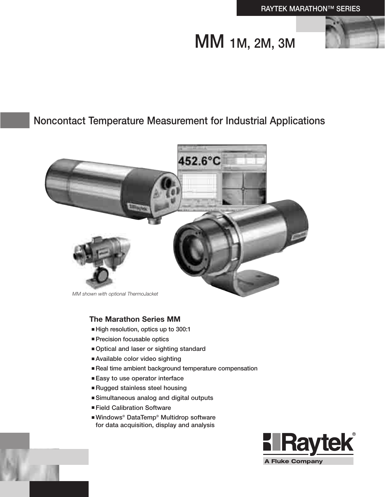# MM 1M, 2M, 3M



# Noncontact Temperature Measurement for Industrial Applications



### **The Marathon Series MM**

- High resolution, optics up to 300:1
- Precision focusable optics
- Optical and laser or sighting standard
- Available color video sighting
- Real time ambient background temperature compensation
- Easy to use operator interface
- Rugged stainless steel housing
- Simultaneous analog and digital outputs
- Field Calibration Software
- Windows<sup>®</sup> DataTemp<sup>®</sup> Multidrop software for data acquisition, display and analysis



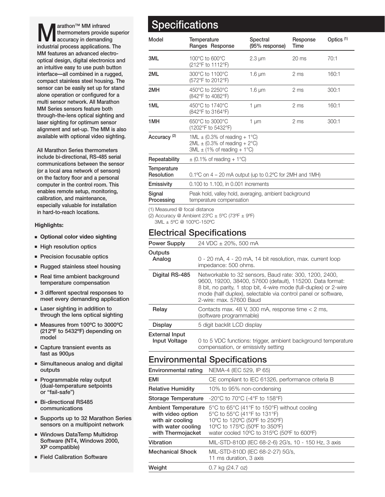thermometers provide superior accuracy in demanding industrial process applications. The MM features an advanced electrooptical design, digital electronics and an intuitive easy to use push button interface—all combined in a rugged, compact stainless steel housing. The sensor can be easily set up for stand alone operation or configured for a multi sensor network. All Marathon MM Series sensors feature both through-the-lens optical sighting and laser sighting for optimum sensor alignment and set-up. The MM is also available with optional video sighting.

All Marathon Series thermometers include bi-directional, RS-485 serial communications between the sensor (or a local area network of sensors) on the factory floor and a personal computer in the control room. This enables remote setup, monitoring, calibration, and maintenance, especially valuable for installation in hard-to-reach locations.

### **Highlights:**

- **Optional color video sighting**
- High resolution optics
- Precision focusable optics
- Rugged stainless steel housing
- Real time ambient background temperature compensation
- 3 different spectral responses to meet every demanding application
- Laser sighting in addition to through the lens optical sighting
- Measures from 100°C to 3000°C (212ºF to 5432ºF) depending on model
- Capture transient events as fast as 900µs
- Simultaneous analog and digital outputs
- Programmable relay output (dual-temperature setpoints or "fail-safe")
- Bi-directional RS485 communications
- Supports up to 32 Marathon Series sensors on a multipoint network
- Windows DataTemp Multidrop Software (NT4, Windows 2000, XP compatible)
- Field Calibration Software

## arathon™ MM infrared **Specifications**

| Model                                                     | Temperature<br>Ranges Response                                                                                                                            | Spectral<br>(95% response) | Response<br>Time | Optics <sup>(1)</sup> |
|-----------------------------------------------------------|-----------------------------------------------------------------------------------------------------------------------------------------------------------|----------------------------|------------------|-----------------------|
| 3ML                                                       | 100°C to 600°C<br>(212°F to 1112°F)                                                                                                                       | $2.3 \mu m$                | $20 \text{ ms}$  | 70:1                  |
| 2ML                                                       | 300°C to 1100°C<br>(572°F to 2012°F)                                                                                                                      | $1.6 \mu m$                | 2 ms             | 160:1                 |
| 2MH                                                       | 450°C to 2250°C<br>(842°F to 4082°F)                                                                                                                      | $1.6 \mu m$                | 2 ms             | 300:1                 |
| 1ML                                                       | 450°C to 1740°C<br>(842°F to 3164°F)                                                                                                                      | 1 $\mu$ m                  | 2 <sub>ms</sub>  | 160:1                 |
| 1MH                                                       | 650°C to 3000°C<br>(1202°F to 5432°F)                                                                                                                     | 1 µm                       | 2 ms             | 300:1                 |
| Accuracy <sup>(2)</sup>                                   | $1ML \pm (0.3\% \text{ of reading } + 1\degree \text{C})$<br>2ML $\pm$ (0.3% of reading + 2°C)<br>$3ML \pm (1\% \text{ of reading } + 1\degree \text{C})$ |                            |                  |                       |
| Repeatability                                             | $\pm$ (0.1% of reading + 1°C)                                                                                                                             |                            |                  |                       |
| Temperature<br>Resolution                                 | 0.1 °C on 4 – 20 mA output (up to 0.2 °C for 2MH and 1MH)                                                                                                 |                            |                  |                       |
| Emissivity                                                | 0.100 to 1.100, in 0.001 increments                                                                                                                       |                            |                  |                       |
| Signal<br>Processing                                      | Peak hold, valley hold, averaging, ambient background<br>temperature compensation                                                                         |                            |                  |                       |
| $(4)$ Means $\sim$ $\approx$ $\approx$ from $\sim$ $\sim$ |                                                                                                                                                           |                            |                  |                       |

(1) Measured @ focal distance

(2) Accuracy @ Ambient  $23^{\circ}$ C  $\pm$  5°C (73°F  $\pm$  9°F)

3ML ± 5ºC @ 100ºC-150ºC

### Electrical Specifications

| <b>Power Supply</b>                           | 24 VDC ± 20%, 500 mA                                                                                                                                                                                                                                                                 |  |
|-----------------------------------------------|--------------------------------------------------------------------------------------------------------------------------------------------------------------------------------------------------------------------------------------------------------------------------------------|--|
| Outputs<br>Analog                             | 0 - 20 mA, 4 - 20 mA, 14 bit resolution, max. current loop<br>impedance: 500 ohms.                                                                                                                                                                                                   |  |
| Digital RS-485                                | Networkable to 32 sensors, Baud rate: 300, 1200, 2400,<br>9600, 19200, 38400, 57600 (default), 115200. Data format:<br>8 bit, no parity, 1 stop bit, 4-wire mode (full-duplex) or 2-wire<br>mode (half duplex), selectable via control panel or software,<br>2-wire: max, 57600 Baud |  |
| Relay                                         | Contacts max. 48 V, 300 mA, response time $< 2$ ms,<br>(software programmable)                                                                                                                                                                                                       |  |
| <b>Display</b>                                | 5 digit backlit LCD display                                                                                                                                                                                                                                                          |  |
| <b>External Input</b><br><b>Input Voltage</b> | 0 to 5 VDC functions: trigger, ambient background temperature<br>compensation, or emissivity setting                                                                                                                                                                                 |  |

### Environmental Specifications

| <b>Environmental rating</b>                                                                             | NEMA-4 (IEC 529, IP 65)                                                                                                                                                                                                               |
|---------------------------------------------------------------------------------------------------------|---------------------------------------------------------------------------------------------------------------------------------------------------------------------------------------------------------------------------------------|
| EMI                                                                                                     | CE compliant to IEC 61326, performance criteria B                                                                                                                                                                                     |
| <b>Relative Humidity</b>                                                                                | 10% to 95% non-condensing                                                                                                                                                                                                             |
| Storage Temperature                                                                                     | -20 $\degree$ C to 70 $\degree$ C (-4 $\degree$ F to 158 $\degree$ F)                                                                                                                                                                 |
| Ambient Temperature<br>with video option<br>with air cooling<br>with water cooling<br>with Thermojacket | $5^{\circ}$ C to 65 $^{\circ}$ C (41 $^{\circ}$ F to 150 $^{\circ}$ F) without cooling<br>5°C to 55°C (41°F to 131°F)<br>10°C to 120°C (50°F to 250°F)<br>10°C to 175°C (50°F to 350°F)<br>water cooled 10°C to 315°C (50°F to 600°F) |
| Vibration                                                                                               | MIL-STD-810D (IEC 68-2-6) 2G's, 10 - 150 Hz, 3 axis                                                                                                                                                                                   |
| <b>Mechanical Shock</b>                                                                                 | MIL-STD-810D (IEC 68-2-27) 5G's,<br>11 ms duration, 3 axis                                                                                                                                                                            |
| Weight                                                                                                  | 0.7 kg (24.7 oz)                                                                                                                                                                                                                      |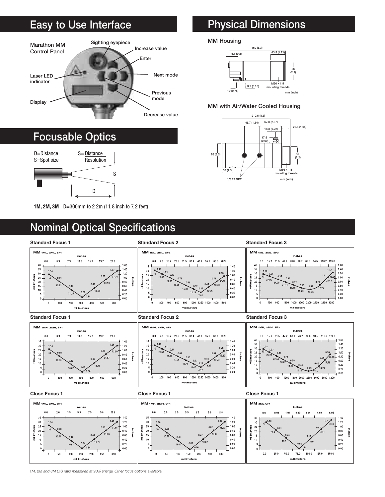# Easy to Use Interface



# Focusable Optics



1M, 2M, 3M D=300mm to 2 2m (11.8 inch to 7.2 feet)

# Physical Dimensions

#### MM Housing



#### MM with Air/Water Cooled Housing





*1M, 2M and 3M D:S ratio measured at 90% energy. Other focus options available.*